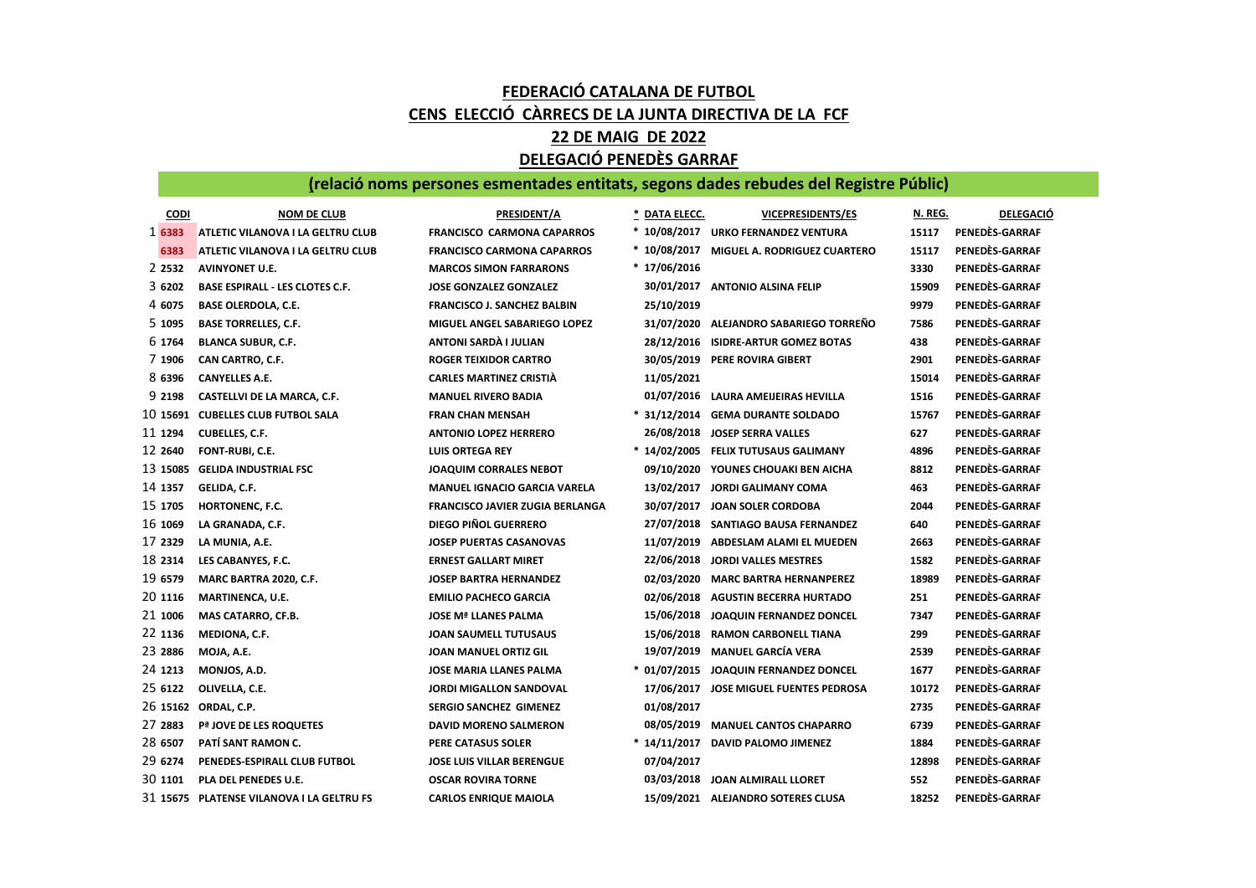## FEDERACIÓ CATALANA DE FUTBOL CENS ELECCIÓ CÀRRECS DE LA JUNTA DIRECTIVA DE LA FCF 22 DE MAIG DE 2022 DELEGACIÓ PENEDÈS GARRAF

## (relació noms persones esmentades entitats, segons dades rebudes del Registre Públic)

| <b>CODI</b> | <b>NOM DE CLUB</b>                        | PRESIDENT/A                            | * DATA ELECC. | <b>VICEPRESIDENTS/ES</b>               | N. REG. | <b>DELEGACIÓ</b> |
|-------------|-------------------------------------------|----------------------------------------|---------------|----------------------------------------|---------|------------------|
| 1 6383      | ATLETIC VILANOVA I LA GELTRU CLUB         | <b>FRANCISCO CARMONA CAPARROS</b>      |               | * 10/08/2017 URKO FERNANDEZ VENTURA    | 15117   | PENEDÈS-GARRAF   |
| 6383        | ATLETIC VILANOVA I LA GELTRU CLUB         | <b>FRANCISCO CARMONA CAPARROS</b>      | * 10/08/2017  | <b>MIGUEL A. RODRIGUEZ CUARTERO</b>    | 15117   | PENEDÈS-GARRAF   |
| 2 2 5 3 2   | <b>AVINYONET U.E.</b>                     | <b>MARCOS SIMON FARRARONS</b>          | * 17/06/2016  |                                        | 3330    | PENEDÈS-GARRAF   |
| 3 6202      | <b>BASE ESPIRALL - LES CLOTES C.F.</b>    | <b>JOSE GONZALEZ GONZALEZ</b>          | 30/01/2017    | <b>ANTONIO ALSINA FELIP</b>            | 15909   | PENEDÈS-GARRAF   |
| 4 6075      | <b>BASE OLERDOLA, C.E.</b>                | <b>FRANCISCO J. SANCHEZ BALBIN</b>     | 25/10/2019    |                                        | 9979    | PENEDÈS-GARRAF   |
| 5 1095      | <b>BASE TORRELLES, C.F.</b>               | MIGUEL ANGEL SABARIEGO LOPEZ           |               | 31/07/2020 ALEJANDRO SABARIEGO TORREÑO | 7586    | PENEDÈS-GARRAF   |
| 6 1764      | <b>BLANCA SUBUR, C.F.</b>                 | ANTONI SARDA I JULIAN                  |               | 28/12/2016 ISIDRE-ARTUR GOMEZ BOTAS    | 438     | PENEDÈS-GARRAF   |
| 7 1906      | CAN CARTRO, C.F.                          | <b>ROGER TEIXIDOR CARTRO</b>           |               | 30/05/2019 PERE ROVIRA GIBERT          | 2901    | PENEDÈS-GARRAF   |
| 8 6396      | <b>CANYELLES A.E.</b>                     | <b>CARLES MARTINEZ CRISTIÀ</b>         | 11/05/2021    |                                        | 15014   | PENEDÈS-GARRAF   |
| 9 2198      | CASTELLVI DE LA MARCA, C.F.               | <b>MANUEL RIVERO BADIA</b>             |               | 01/07/2016 LAURA AMEIJEIRAS HEVILLA    | 1516    | PENEDÈS-GARRAF   |
| 10 15691    | <b>CUBELLES CLUB FUTBOL SALA</b>          | <b>FRAN CHAN MENSAH</b>                | * 31/12/2014  | <b>GEMA DURANTE SOLDADO</b>            | 15767   | PENEDÈS-GARRAF   |
| 11 1294     | <b>CUBELLES, C.F.</b>                     | <b>ANTONIO LOPEZ HERRERO</b>           | 26/08/2018    | <b>JOSEP SERRA VALLES</b>              | 627     | PENEDÈS-GARRAF   |
| 12 2640     | FONT-RUBI, C.E.                           | <b>LUIS ORTEGA REY</b>                 |               | * 14/02/2005 FELIX TUTUSAUS GALIMANY   | 4896    | PENEDÈS-GARRAF   |
| 13 15085    | <b>GELIDA INDUSTRIAL FSC</b>              | <b>JOAQUIM CORRALES NEBOT</b>          |               | 09/10/2020 YOUNES CHOUAKI BEN AICHA    | 8812    | PENEDÈS-GARRAF   |
| 14 1357     | GELIDA, C.F.                              | <b>MANUEL IGNACIO GARCIA VARELA</b>    |               | 13/02/2017 JORDI GALIMANY COMA         | 463     | PENEDÈS-GARRAF   |
| 15 1705     | HORTONENC, F.C.                           | <b>FRANCISCO JAVIER ZUGIA BERLANGA</b> |               | 30/07/2017 JOAN SOLER CORDOBA          | 2044    | PENEDÈS-GARRAF   |
| 16 1069     | LA GRANADA, C.F.                          | <b>DIEGO PIÑOL GUERRERO</b>            |               | 27/07/2018 SANTIAGO BAUSA FERNANDEZ    | 640     | PENEDÈS-GARRAF   |
| 17 2329     | LA MUNIA, A.E.                            | <b>JOSEP PUERTAS CASANOVAS</b>         | 11/07/2019    | ABDESLAM ALAMI EL MUEDEN               | 2663    | PENEDÈS-GARRAF   |
| 18 2314     | LES CABANYES, F.C.                        | <b>ERNEST GALLART MIRET</b>            | 22/06/2018    | JORDI VALLES MESTRES                   | 1582    | PENEDÈS-GARRAF   |
| 19 6579     | MARC BARTRA 2020, C.F.                    | <b>JOSEP BARTRA HERNANDEZ</b>          | 02/03/2020    | <b>MARC BARTRA HERNANPEREZ</b>         | 18989   | PENEDÈS-GARRAF   |
| 20 1116     | <b>MARTINENCA, U.E.</b>                   | <b>EMILIO PACHECO GARCIA</b>           |               | 02/06/2018 AGUSTIN BECERRA HURTADO     | 251     | PENEDÈS-GARRAF   |
| 21 1006     | MAS CATARRO, CF.B.                        | <b>JOSE Mª LLANES PALMA</b>            |               | 15/06/2018 JOAQUIN FERNANDEZ DONCEL    | 7347    | PENEDÈS-GARRAF   |
| 22 1136     | MEDIONA, C.F.                             | <b>JOAN SAUMELL TUTUSAUS</b>           |               | 15/06/2018 RAMON CARBONELL TIANA       | 299     | PENEDÈS-GARRAF   |
| 23 2886     | MOJA, A.E.                                | <b>JOAN MANUEL ORTIZ GIL</b>           | 19/07/2019    | <b>MANUEL GARCÍA VERA</b>              | 2539    | PENEDÈS-GARRAF   |
| 24 1213     | MONJOS, A.D.                              | <b>JOSE MARIA LLANES PALMA</b>         |               | * 01/07/2015 JOAQUIN FERNANDEZ DONCEL  | 1677    | PENEDES-GARRAF   |
| 25 6122     | OLIVELLA, C.E.                            | <b>JORDI MIGALLON SANDOVAL</b>         | 17/06/2017    | JOSE MIGUEL FUENTES PEDROSA            | 10172   | PENEDÈS-GARRAF   |
|             | 26 15162 ORDAL, C.P.                      | <b>SERGIO SANCHEZ GIMENEZ</b>          | 01/08/2017    |                                        | 2735    | PENEDÈS-GARRAF   |
| 27 2883     | Pª JOVE DE LES ROQUETES                   | <b>DAVID MORENO SALMERON</b>           |               | 08/05/2019 MANUEL CANTOS CHAPARRO      | 6739    | PENEDÈS-GARRAF   |
| 28 6507     | PATÍ SANT RAMON C.                        | PERE CATASUS SOLER                     |               | * 14/11/2017 DAVID PALOMO JIMENEZ      | 1884    | PENEDÈS-GARRAF   |
| 29 6274     | PENEDES-ESPIRALL CLUB FUTBOL              | <b>JOSE LUIS VILLAR BERENGUE</b>       | 07/04/2017    |                                        | 12898   | PENEDÈS-GARRAF   |
| 30 1101     | PLA DEL PENEDES U.E.                      | <b>OSCAR ROVIRA TORNE</b>              |               | 03/03/2018 JOAN ALMIRALL LLORET        | 552     | PENEDÈS-GARRAF   |
|             | 31 15675 PLATENSE VILANOVA I LA GELTRU FS | <b>CARLOS ENRIQUE MAIOLA</b>           |               | 15/09/2021 ALEJANDRO SOTERES CLUSA     | 18252   | PENEDÈS-GARRAF   |